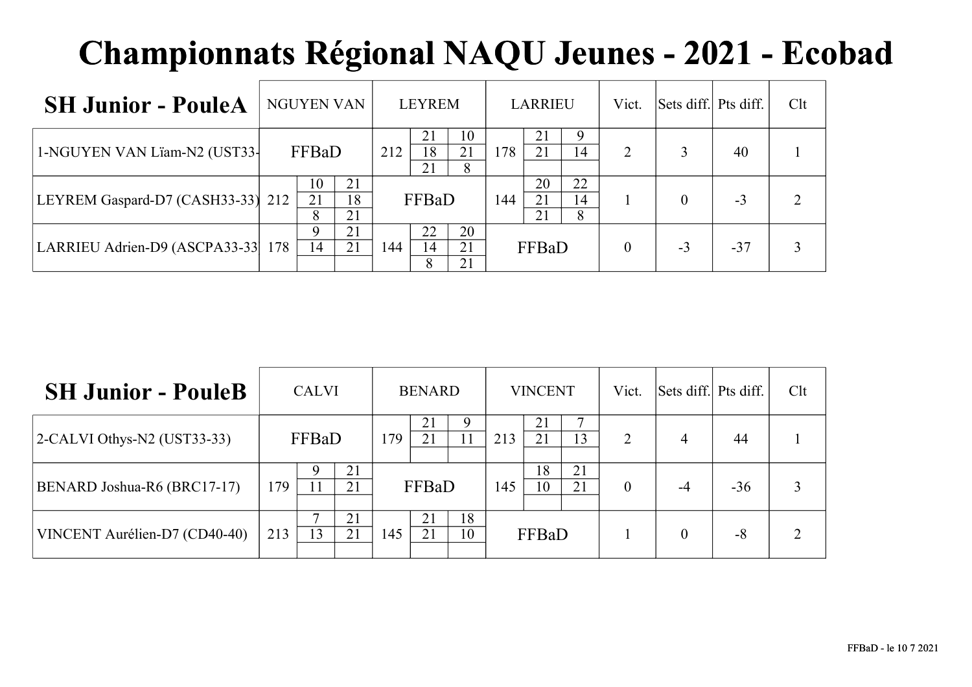| <b>SH Junior - PouleA</b>         | <b>NGUYEN VAN</b>               |     | <b>LEYREM</b>   |                |     | <b>LARRIEU</b> |               | Vict.          | Sets diff. Pts diff. |       | Clt |
|-----------------------------------|---------------------------------|-----|-----------------|----------------|-----|----------------|---------------|----------------|----------------------|-------|-----|
| 1-NGUYEN VAN Lïam-N2 (UST33-      | FFBaD                           | 212 | 21<br>18<br>21  | 10<br>21<br>8  | 178 | 21<br>21       | 9<br>14       | $\overline{2}$ |                      | 40    |     |
| LEYREM Gaspard-D7 (CASH33-33) 212 | 21<br>10<br>21<br>18<br>21<br>8 |     | FFBaD           |                | 144 | 20<br>21<br>21 | 22<br>14<br>8 |                |                      | $-3$  |     |
| LARRIEU Adrien-D9 (ASCPA33-33 178 | 21<br>$\mathbf Q$<br>21<br>14   |     | 22<br>144<br>14 | 20<br>21<br>21 |     | FFBaD          |               | $\theta$       | $-3$                 | $-37$ |     |

| <b>SH Junior - PouleB</b>       |     | <b>CALVI</b> |          |     | <b>BENARD</b> |             |     | <b>VINCENT</b> |          | Vict.          | Sets diff. Pts diff. |       | Clt           |
|---------------------------------|-----|--------------|----------|-----|---------------|-------------|-----|----------------|----------|----------------|----------------------|-------|---------------|
| $ 2$ -CALVI Othys-N2 (UST33-33) |     | FFBaD        |          | 179 | 21<br>21      | $\mathbf Q$ | 213 | 21<br>21       | 13       | $\overline{2}$ | 4                    | 44    |               |
| BENARD Joshua-R6 (BRC17-17)     | 179 | Q            | 21<br>21 |     | FFBaD         |             | 145 | 18<br>10       | 21<br>21 | $\theta$       | -4                   | $-36$ | 3             |
| VINCENT Aurélien-D7 (CD40-40)   | 213 | 13           | 21<br>21 | 145 | 21<br>21      | 18<br>10    |     | FFBaD          |          |                | $\theta$             | $-8$  | $\mathcal{D}$ |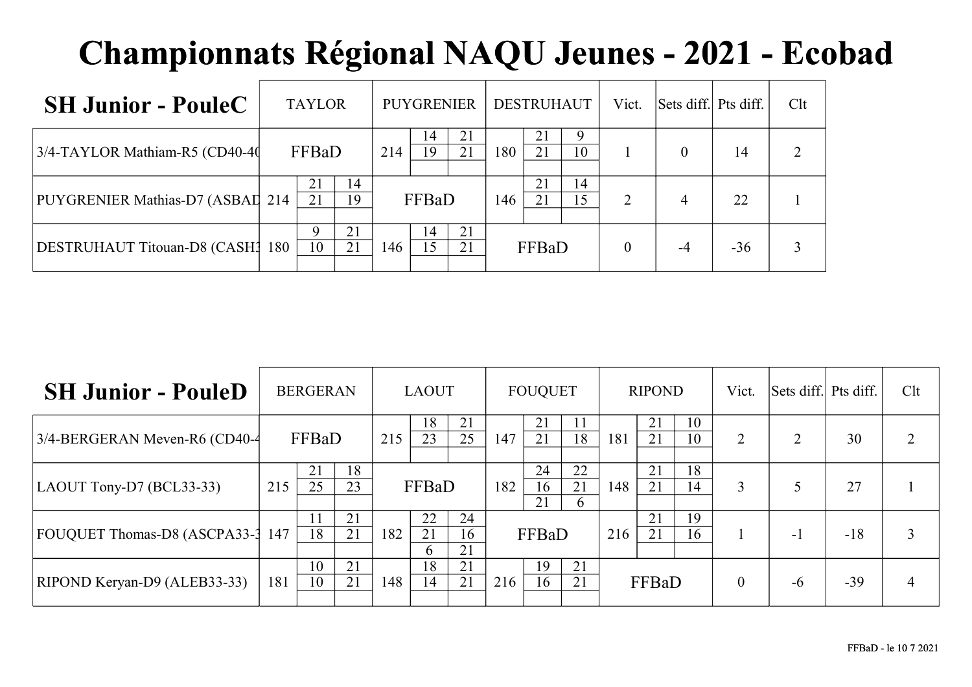| <b>SH Junior - PouleC</b>         | <b>TAYLOR</b>        |     | <b>PUYGRENIER</b>           | <b>DESTRUHAUT</b> | Vict.                      | Sets diff. Pts diff. |       | Clt |
|-----------------------------------|----------------------|-----|-----------------------------|-------------------|----------------------------|----------------------|-------|-----|
| 3/4-TAYLOR Mathiam-R5 (CD40-40)   | FFBaD                | 214 | 21<br>14<br>19<br>21        | 21<br>180<br>21   | 9<br>10                    | $\Omega$             | 14    |     |
| PUYGRENIER Mathias-D7 (ASBAI) 214 | 14<br>21<br>19<br>21 |     | FFBaD                       | 21<br>21<br>146   | 14<br>15<br>$\overline{2}$ | 4                    | 22    |     |
| DESTRUHAUT Titouan-D8 (CASH3 180  | 21<br>9<br>21<br>10  | 146 | 21<br>14<br><b>15</b><br>21 | FFBaD             | $\theta$                   | -4                   | $-36$ |     |

| <b>SH Junior - PouleD</b>      |     | <b>BERGERAN</b> |          |                             | <b>LAOUT</b>             |                |     | <b>FOUQUET</b> |               |     | <b>RIPOND</b> |          | Vict.          | Sets diff. Pts diff. |       | Clt |
|--------------------------------|-----|-----------------|----------|-----------------------------|--------------------------|----------------|-----|----------------|---------------|-----|---------------|----------|----------------|----------------------|-------|-----|
| 3/4-BERGERAN Meven-R6 (CD40-4) |     | FFBaD           |          | 215                         | 18<br>23                 | 21<br>25       | 147 | 21<br>21       | 11<br>18      | 181 | 21<br>21      | 10<br>10 | $\overline{2}$ | ↑                    | 30    |     |
| $ $ LAOUT Tony-D7 (BCL33-33)   | 215 | 21<br>25        | 18<br>23 |                             | FFBaD                    |                | 182 | 24<br>16<br>21 | 22<br>21<br>6 | 148 | 21<br>21      | 18<br>14 | 3              |                      | 27    |     |
| FOUQUET Thomas-D8 (ASCPA33-3   | 147 | 18              | 21<br>21 | 182                         | 22<br>21<br><sub>b</sub> | 24<br>16<br>21 |     | FFBaD          |               | 216 | 21<br>21      | 19<br>16 |                | - 1                  | $-18$ |     |
| RIPOND Keryan-D9 (ALEB33-33)   | 181 | 10<br>10        | 21<br>21 | 18<br>21<br>21<br>148<br>14 |                          |                | 216 | 19<br>16       | 21<br>21      |     | FFBaD         |          | $\theta$       | $-6$                 | $-39$ | 4   |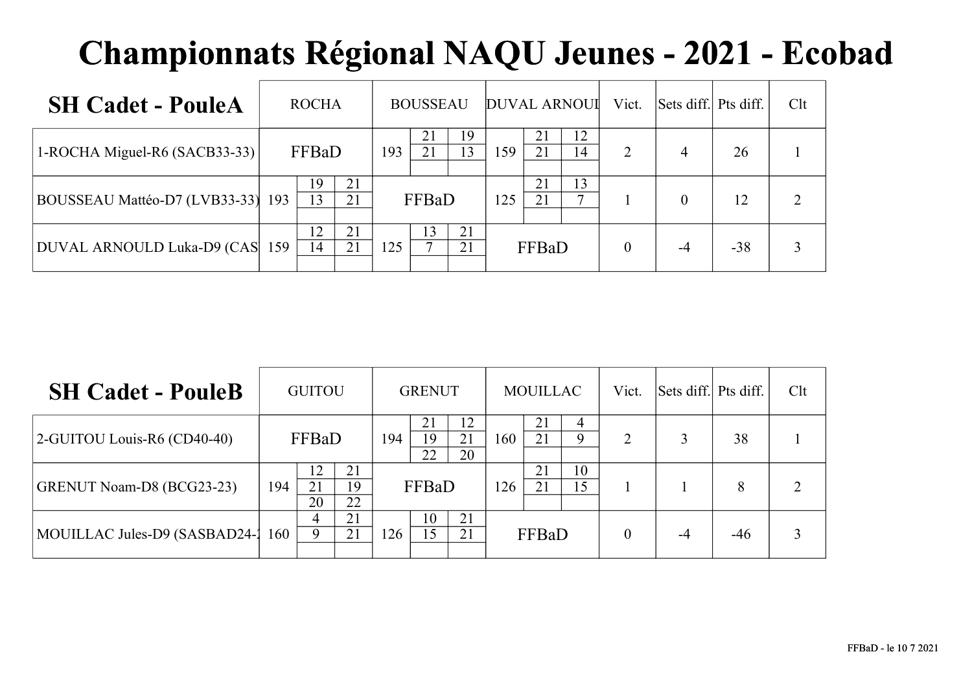| <b>SH Cadet - PouleA</b>          | <b>ROCHA</b> |          |     | <b>BOUSSEAU</b> |          |     |          | <b>DUVAL ARNOUI</b> | Vict.          | Sets diff. Pts diff. |       | Clt |
|-----------------------------------|--------------|----------|-----|-----------------|----------|-----|----------|---------------------|----------------|----------------------|-------|-----|
| 1-ROCHA Miguel-R6 (SACB33-33)     | FFBaD        |          | 193 | 21<br>21        | 19<br>13 | 159 | 21<br>21 | 12<br>14            | $\overline{2}$ | 4                    | 26    |     |
| BOUSSEAU Mattéo-D7 (LVB33-33) 193 | 19<br>13     | 21<br>21 |     | FFBaD           |          | 125 | 21<br>21 | 13<br>$\mathbf{r}$  |                | $\theta$             | 12    | ↑   |
| DUVAL ARNOULD Luka-D9 (CAS 159    | 12<br>14     | 21<br>21 | 125 | 13              | 21<br>21 |     | FFBaD    |                     | $\theta$       | -4                   | $-38$ |     |

| <b>SH Cadet - PouleB</b>       |     | <b>GUITOU</b>  |                |     | <b>GRENUT</b> |                |     | <b>MOUILLAC</b> |          | Vict.    | Sets diff. Pts diff. |       | Clt |
|--------------------------------|-----|----------------|----------------|-----|---------------|----------------|-----|-----------------|----------|----------|----------------------|-------|-----|
| $2$ -GUITOU Louis-R6 (CD40-40) |     | FFBaD          |                | 194 | 19<br>22      | 12<br>21<br>20 | 160 | 21<br>21        | 9        | າ        |                      | 38    |     |
| GRENUT Noam-D8 (BCG23-23)      | 194 | 12<br>21<br>20 | 21<br>19<br>22 |     | FFBaD         |                | 126 | 21<br>21        | 10<br>15 |          |                      | 8     |     |
| MOUILLAC Jules-D9 (SASBAD24-1) | 160 | 4<br>9         | 21<br>21       | 126 | 10<br>l 5     | 21<br>21       |     | FFBaD           |          | $\theta$ | $-4$                 | $-46$ |     |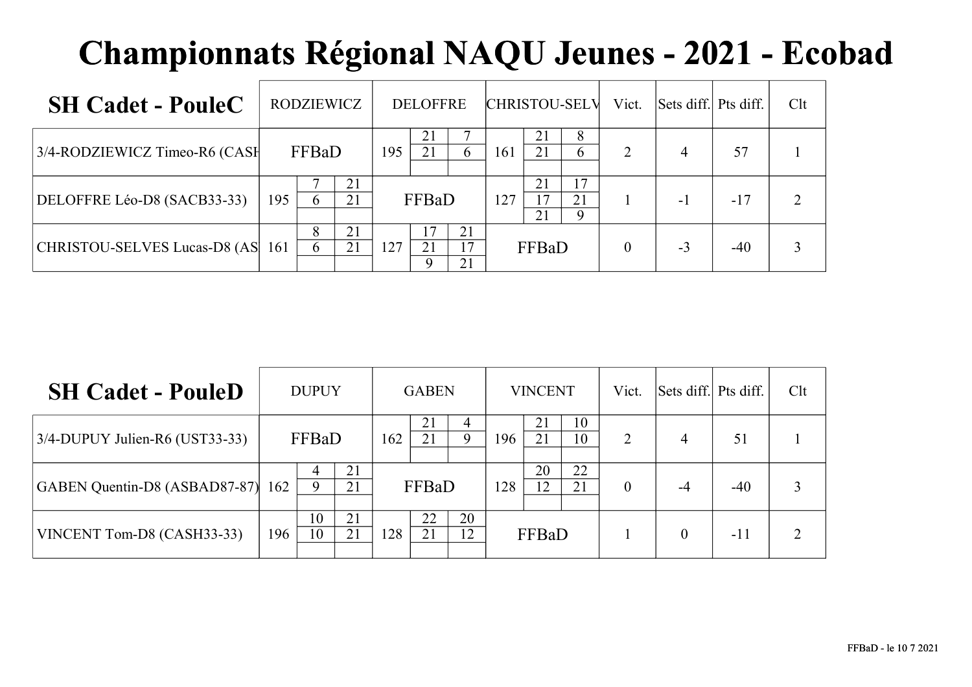| <b>SH Cadet - PouleC</b>         | RODZIEWICZ |        |          |     | <b>DELOFFRE</b> |                |     |                | <b>CHRISTOU-SELV</b>    | Vict.          | Sets diff. Pts diff. |       | Clt |
|----------------------------------|------------|--------|----------|-----|-----------------|----------------|-----|----------------|-------------------------|----------------|----------------------|-------|-----|
| 3/4-RODZIEWICZ Timeo-R6 (CASH    |            | FFBaD  |          | 195 | 21<br>21        | 6              | 161 | 21<br>21       | 8<br>6                  | $\overline{2}$ | 4                    | 57    |     |
| DELOFFRE Léo-D8 (SACB33-33)      | 195        | 6      | 21<br>21 |     | FFBaD           |                | 127 | 21<br>17<br>21 | 17<br>21<br>$\mathbf Q$ |                | -1                   | $-17$ |     |
| CHRISTOU-SELVES Lucas-D8 (AS 161 |            | 8<br>6 | 21<br>21 | 127 | 21              | 21<br>17<br>21 |     | FFBaD          |                         | $\theta$       | $-3$                 | $-40$ |     |

| <b>SH Cadet - PouleD</b>          |     | <b>DUPUY</b> |          |     | <b>GABEN</b> |          |     | <b>VINCENT</b> |          | Vict.    | Sets diff. Pts diff. |       | Clt |
|-----------------------------------|-----|--------------|----------|-----|--------------|----------|-----|----------------|----------|----------|----------------------|-------|-----|
| $3/4$ -DUPUY Julien-R6 (UST33-33) |     | FFBaD        |          | 162 | 21<br>21     | 9        | 196 | 21<br>21       | 10<br>10 | 2        | $\overline{4}$       | 51    |     |
| GABEN Quentin-D8 (ASBAD87-87) 162 |     | 4<br>9       | 21<br>21 |     | FFBaD        |          | 128 | 20<br>12       | 22<br>21 | $\theta$ | -4                   | $-40$ |     |
| VINCENT Tom-D8 (CASH33-33)        | 196 | 10<br>10     | 21<br>21 | 128 | 22<br>21     | 20<br>12 |     | FFBaD          |          |          |                      | $-11$ |     |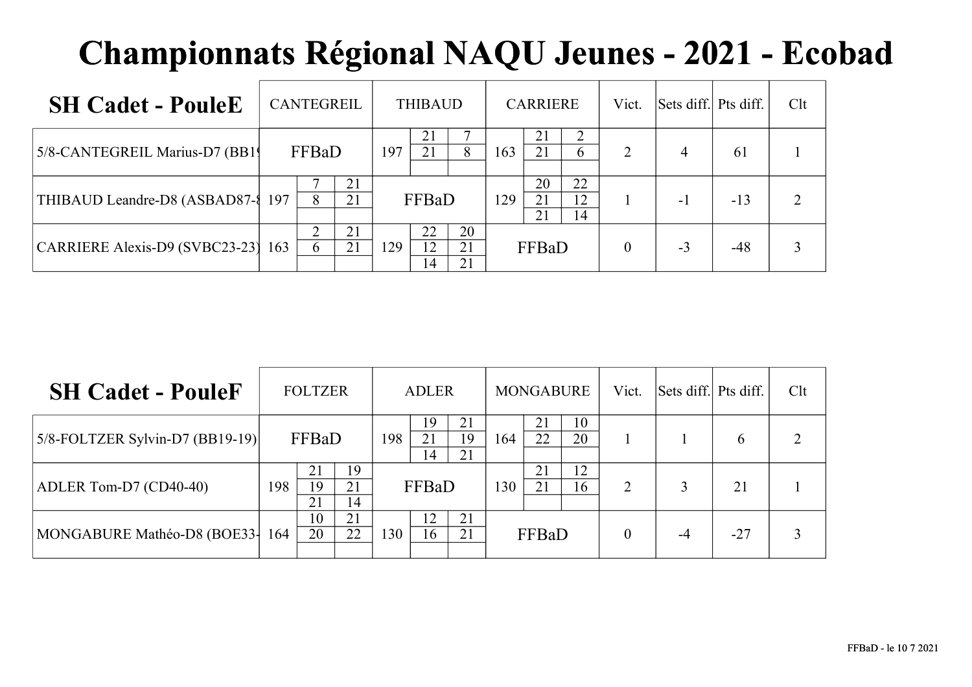| <b>SH Cadet - PouleE</b>              | <b>CANTEGREIL</b> |     | <b>THIBAUD</b> |                |     | <b>CARRIERE</b> |                | Vict.          | Sets diff. Pts diff. |       | Clt |
|---------------------------------------|-------------------|-----|----------------|----------------|-----|-----------------|----------------|----------------|----------------------|-------|-----|
| 5/8-CANTEGREIL Marius-D7 (BB1)        | FFBaD             | 197 | 21<br>21       | 8              | 163 | 21<br>21        | 6              | $\overline{2}$ | 4                    | 61    |     |
| THIBAUD Leandre-D8 (ASBAD87-{ 197     | 21<br>21<br>8     |     | FFBaD          |                | 129 | 20<br>21<br>21  | 22<br>12<br>14 |                | -1                   | $-13$ | ↑   |
| $ CARRIERE Alexis-D9 (SVBC23-23)$ 163 | 21<br>21<br>6     | 129 | 22<br>12<br>14 | 20<br>21<br>21 |     | FFBaD           |                | $\theta$       | $-3$                 | $-48$ |     |

| <b>SH Cadet - PouleF</b>            |     | <b>FOLTZER</b> |                |     | <b>ADLER</b>   |                |     | <b>MONGABURE</b> |          | Vict.          | Sets diff. Pts diff. |               | Clt |
|-------------------------------------|-----|----------------|----------------|-----|----------------|----------------|-----|------------------|----------|----------------|----------------------|---------------|-----|
| $ 5/8$ -FOLTZER Sylvin-D7 (BB19-19) |     | FFBaD          |                | 198 | 19<br>21<br>14 | 21<br>19<br>21 | 164 | 21<br>22         | 10<br>20 |                |                      | $\mathfrak b$ |     |
| $ADLER$ Tom-D7 (CD40-40)            | 198 | 21<br>19<br>21 | 19<br>21<br>14 |     | FFBaD          |                | 130 | 21<br>21         | 12<br>16 | $\overline{2}$ |                      | 21            |     |
| MONGABURE Mathéo-D8 (BOE33-164      |     | 10<br>20       | 21<br>22       | 130 | 12<br>16       | 21<br>21       |     | FFBaD            |          |                | $-4$                 | $-27$         |     |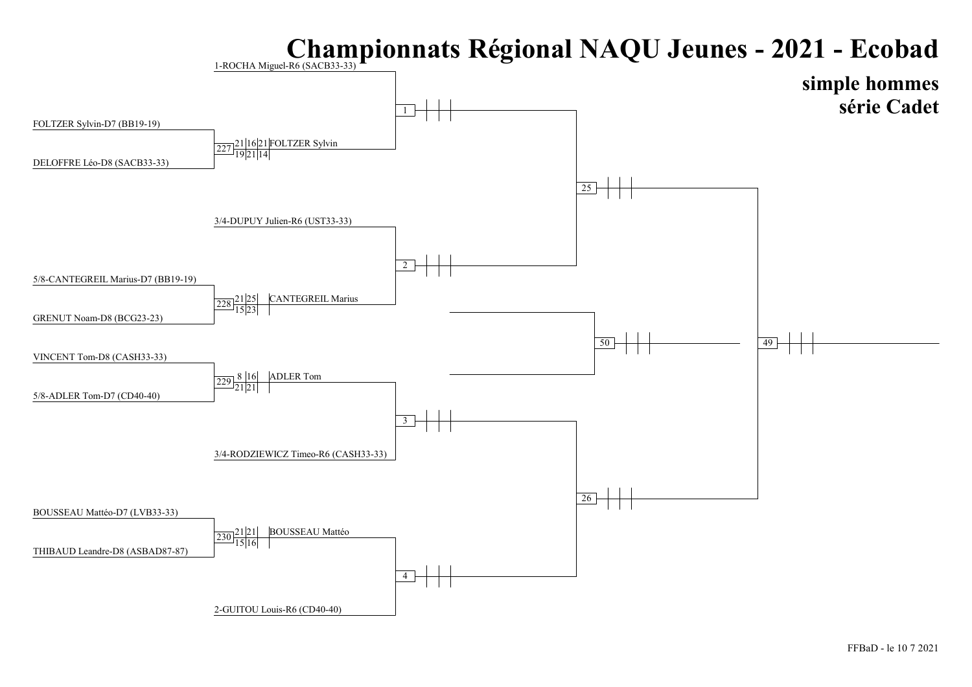#### Championnats Régional NAQU Jeunes - 2021 - Ecobad 1-ROCHA Miguel-R6 (SACB33-33)

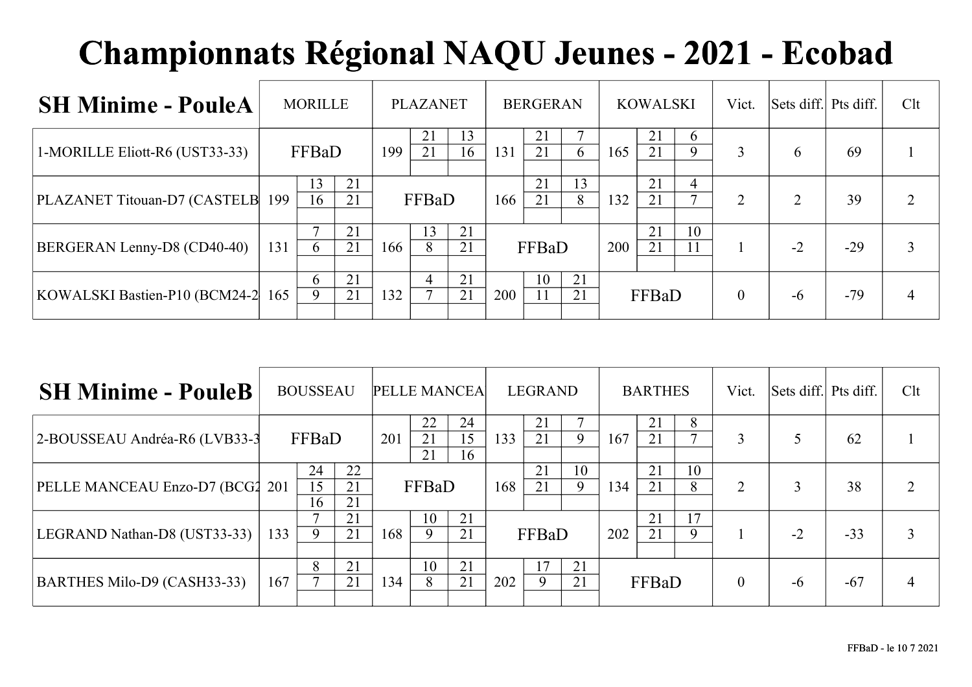| <b>SH Minime - PouleA</b>         |     | <b>MORILLE</b> |          |     | <b>PLAZANET</b> |          |     | <b>BERGERAN</b> |          |     | <b>KOWALSKI</b> |                                   | Vict.    | Sets diff. Pts diff. |       | Clt |
|-----------------------------------|-----|----------------|----------|-----|-----------------|----------|-----|-----------------|----------|-----|-----------------|-----------------------------------|----------|----------------------|-------|-----|
| 1-MORILLE Eliott-R6 (UST33-33)    |     | FFBaD          |          | 199 | 21<br>21        | 13<br>16 | 131 | 21<br>21        | 6        | 165 | 21<br>21        | $\mathbf b$<br>9                  | 3        | 6                    | 69    |     |
| PLAZANET Titouan-D7 (CASTELB      | 199 | 13<br>16       | 21<br>21 |     | FFBaD           |          | 166 | 21<br>21        | 13<br>8  | 132 | 21<br>21        | $\overline{4}$<br>$\mathbf{\tau}$ | 2        | ↑                    | 39    |     |
| BERGERAN Lenny-D8 (CD40-40)       | 131 | 6              | 21<br>21 | 166 | 13<br>8         | 21<br>21 |     | FFBaD           |          | 200 | 21<br>21        | 10<br>11                          |          | $-2$                 | $-29$ |     |
| KOWALSKI Bastien-P10 (BCM24-2 165 |     | 6<br>9         | 21<br>21 | 132 | 4               | 21<br>21 | 200 | 10<br>11        | 21<br>21 |     | FFBaD           |                                   | $\theta$ | $-6$                 | $-79$ | 4   |

| <b>SH Minime - PouleB</b>       |     | <b>BOUSSEAU</b> |                | <b>PELLE MANCEA</b> |                |                |     | <b>LEGRAND</b>       |          |     | <b>BARTHES</b> |         | Vict.          | Sets diff. Pts diff. |       | Clt |
|---------------------------------|-----|-----------------|----------------|---------------------|----------------|----------------|-----|----------------------|----------|-----|----------------|---------|----------------|----------------------|-------|-----|
| 2-BOUSSEAU Andréa-R6 (LVB33-3)  |     | FFBaD           |                | 201                 | 22<br>21<br>21 | 24<br>15<br>16 | 133 | 21<br>21             | 9        | 167 | 21<br>21       | 8       | 3              |                      | 62    |     |
| PELLE MANCEAU Enzo-D7 (BCG2 201 |     | 24<br>15<br>16  | 22<br>21<br>21 |                     | FFBaD          |                | 168 | 21<br>21             | 10<br>9  | 134 | 21<br>21       | 10<br>8 | $\overline{2}$ |                      | 38    | ↑   |
| LEGRAND Nathan-D8 (UST33-33)    | 133 | 9               | 21<br>21       | 168                 | 10<br>9        | 21<br>21       |     | FFBaD                |          | 202 | 21<br>21       | 17<br>9 |                | $-2$                 | $-33$ |     |
| BARTHES Milo-D9 (CASH33-33)     | 167 | 8               | 21<br>21       | 134                 | 10<br>8        | 21<br>21       | 202 | $\overline{17}$<br>9 | 21<br>21 |     | FFBaD          |         | $\mathbf{0}$   | $-6$                 | $-67$ |     |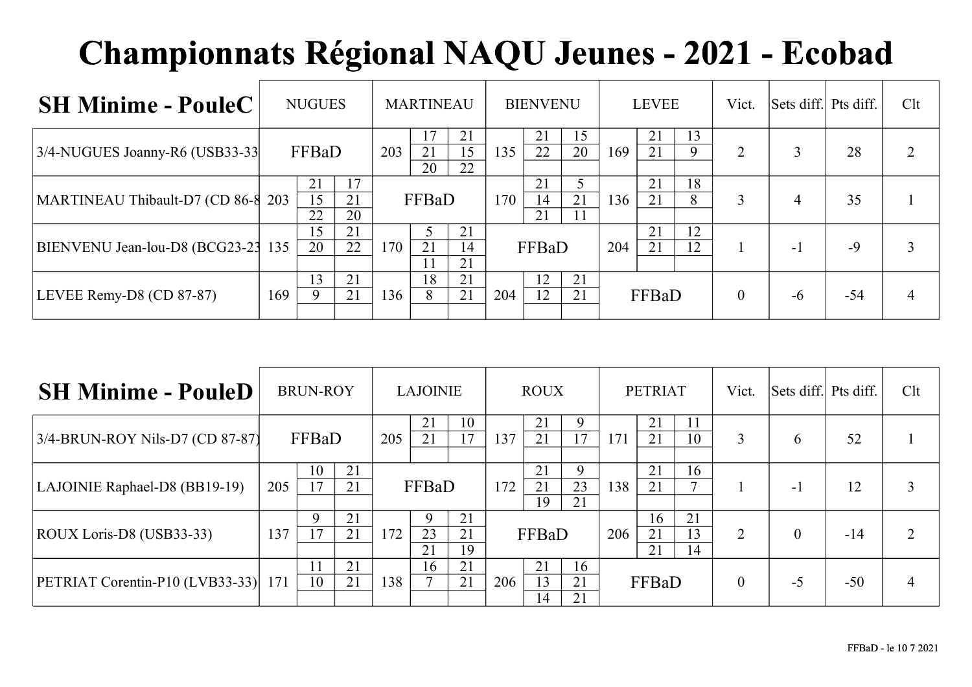| <b>SH Minime - PouleC</b>          | <b>NUGUES</b>  | <b>MARTINEAU</b> |                             |          | <b>BIENVENU</b> |       |                | <b>LEVEE</b> |     |          | Vict.    | Sets diff. Pts diff. |      | Clt   |  |
|------------------------------------|----------------|------------------|-----------------------------|----------|-----------------|-------|----------------|--------------|-----|----------|----------|----------------------|------|-------|--|
| 3/4-NUGUES Joanny-R6 (USB33-33)    | FFBaD          |                  | 203                         | 21<br>20 | 21<br>15<br>22  | 135   | 21<br>22       | 15<br>20     | 169 | 21<br>21 | 13<br>9  | $\overline{2}$       |      | 28    |  |
| MARTINEAU Thibault-D7 (CD 86-8 203 | 21<br>15<br>22 | 17<br>21<br>20   |                             | FFBaD    |                 | 170   | 21<br>14<br>21 | 21<br>11     | 136 | 21<br>21 | 18<br>8  | 3                    |      | 35    |  |
| BIENVENU Jean-lou-D8 (BCG23-23 135 | 15<br>20       | 21<br>22         | 21<br>21<br>170<br>14<br>21 |          |                 | FFBaD |                |              | 204 | 21<br>21 | 12<br>12 |                      | $-1$ | $-9$  |  |
| LEVEE Remy-D8 (CD 87-87)           | 13<br>9<br>169 | 21<br>21         | 136                         | 18       | 21<br>21        | 204   | 12<br>12       | 21<br>21     |     | FFBaD    |          | $\overline{0}$       | $-6$ | $-54$ |  |

| <b>SH Minime - PouleD</b>       | <b>BRUN-ROY</b> |                   |          | <b>LAJOINIE</b> |                                 |          | <b>ROUX</b> |                            |                | <b>PETRIAT</b> |                |                | Vict.        | Sets diff. Pts diff. |       | Clt            |
|---------------------------------|-----------------|-------------------|----------|-----------------|---------------------------------|----------|-------------|----------------------------|----------------|----------------|----------------|----------------|--------------|----------------------|-------|----------------|
| 3/4-BRUN-ROY Nils-D7 (CD 87-87) |                 | FFBaD             |          | 205             | 21<br>21                        | 10<br>17 | 137         | 21<br>21                   | 9<br>17        | 171            | 21<br>21       | 11<br>10       | 3            | 6                    | 52    |                |
| LAJOINIE Raphael-D8 (BB19-19)   | 205             | 10<br>17          | 21<br>21 |                 | FFBaD                           |          | 172         | 21<br>21<br>19             | 9<br>23<br>21  | 138            | 21<br>21       | 16             |              | $-1$                 | 12    | 3              |
| ROUX Loris-D8 (USB33-33)        | 137             | $\mathbf Q$<br>17 | 21<br>21 | 172             | 21<br>9<br>23<br>21<br>21<br>19 |          |             | FFBaD                      |                |                | 16<br>21<br>21 | 21<br>13<br>14 | 2            | $\Omega$             | $-14$ | $\overline{2}$ |
| PETRIAT Corentin-P10 (LVB33-33) | 171             | 10                | 21<br>21 | 138             | 16                              | 21<br>21 | 206         | 21<br>13<br>$\overline{A}$ | 16<br>21<br>21 |                | FFBaD          |                | $\mathbf{0}$ | $-5$                 | $-50$ | 4              |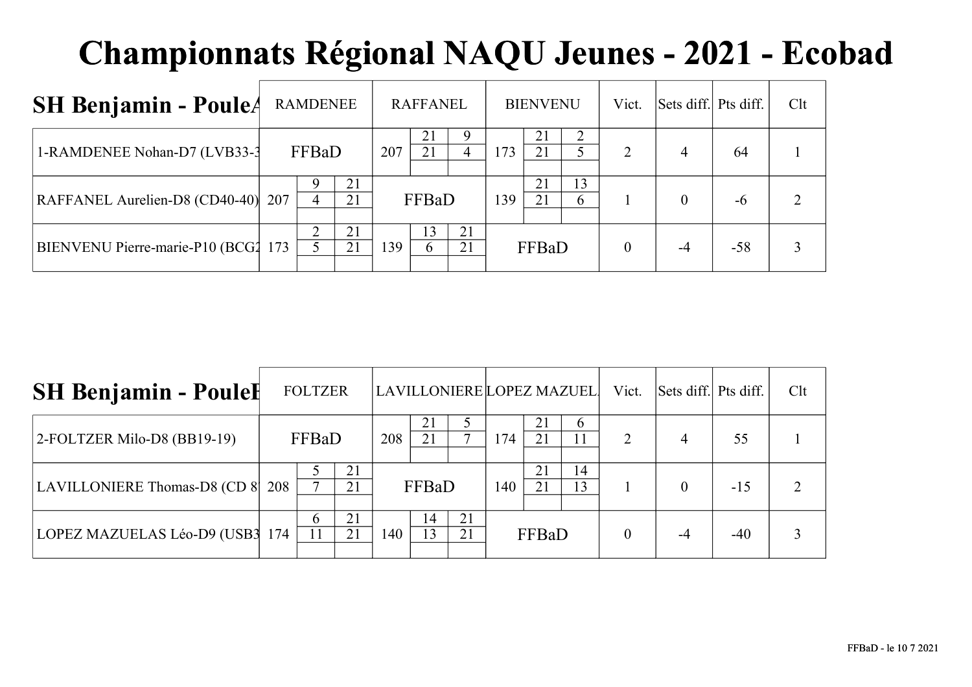| <b>SH Benjamin - PouleA</b>         | <b>RAMDENEE</b> |       |          |     | <b>RAFFANEL</b>                 |          |       | <b>BIENVENU</b> |         | Vict.          | Sets diff. Pts diff. |       | Clt |
|-------------------------------------|-----------------|-------|----------|-----|---------------------------------|----------|-------|-----------------|---------|----------------|----------------------|-------|-----|
| 1-RAMDENEE Nohan-D7 (LVB33-3        |                 | FFBaD |          | 207 | 21<br>21                        | 4        | 173   | 21<br>21        |         | $\overline{2}$ | 4                    | 64    |     |
| RAFFANEL Aurelien-D8 (CD40-40) 207  |                 | 4     | 21<br>21 |     | FFBaD                           |          | 139   | 21<br>21        | 13<br>6 |                | 0                    | $-6$  |     |
| BIENVENU Pierre-marie-P10 (BCG2 173 |                 |       | 21<br>21 | 139 | 13 <sup>2</sup><br><sub>b</sub> | 21<br>21 | FFBaD |                 |         | $\theta$       |                      | $-58$ |     |

| <b>SH Benjamin - Poulel</b>      | <b>FOLTZER</b> |          |     |          |          |     |          | LAVILLONIERE LOPEZ MAZUEL | Vict.          | Sets diff. Pts diff. |       | Clt |
|----------------------------------|----------------|----------|-----|----------|----------|-----|----------|---------------------------|----------------|----------------------|-------|-----|
| $ 2$ -FOLTZER Milo-D8 (BB19-19)  | FFBaD          |          | 208 | 21       |          | 174 | 21<br>21 | <sub>t</sub>              | $\overline{2}$ | 4                    | 55    |     |
| LAVILLONIERE Thomas-D8 (CD 8 208 |                | 21<br>21 |     | FFBaD    |          | 140 | 21<br>21 | 14<br>13                  |                |                      | $-15$ |     |
| LOPEZ MAZUELAS Léo-D9 (USB3 174  | $\sigma$<br>11 | 21<br>21 | 140 | 14<br>13 | 21<br>21 |     | FFBaD    |                           |                |                      | $-40$ |     |